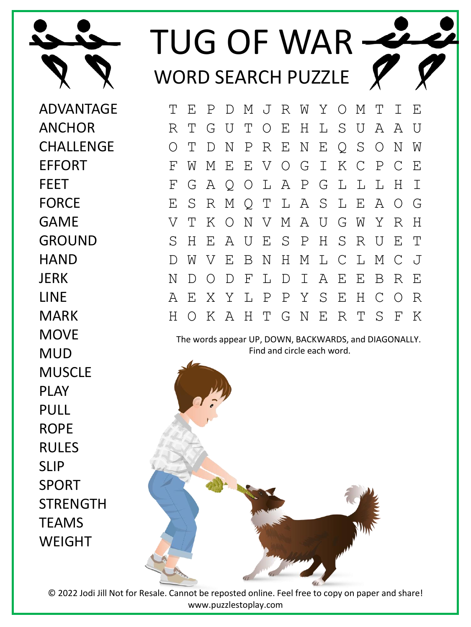

## TUG OF WAR WORD SEARCH PUZZLE

ADVANTAGE ANCHOR **CHALLENGE** EFFORT FEET FORCE GAME GROUND **HAND** JERK LINE MARK **MOVE** MUD MUSCLE PLAY PULL ROPE RULES SLIP SPORT **STRENGTH** TEAMS **WFIGHT** 

T E P D M J R W Y O M T I E R T G U T O E H L S U A A U O T D N P R E N E Q S O N W F W M E E V O G I K C P C E F G A Q O L A P G L L L H I E S R M Q T L A S L E A O G V T K O N V M A U G W Y R H S H E A U E S P H S R U E T D W V E B N H M L C L M C J N D O D F L D I A E E B R E A E X Y L P P Y S E H C O R H O K A H T G N E R T S F K

The words appear UP, DOWN, BACKWARDS, and DIAGONALLY. Find and circle each word.



© 2022 Jodi Jill Not for Resale. Cannot be reposted online. Feel free to copy on paper and share! www.puzzlestoplay.com